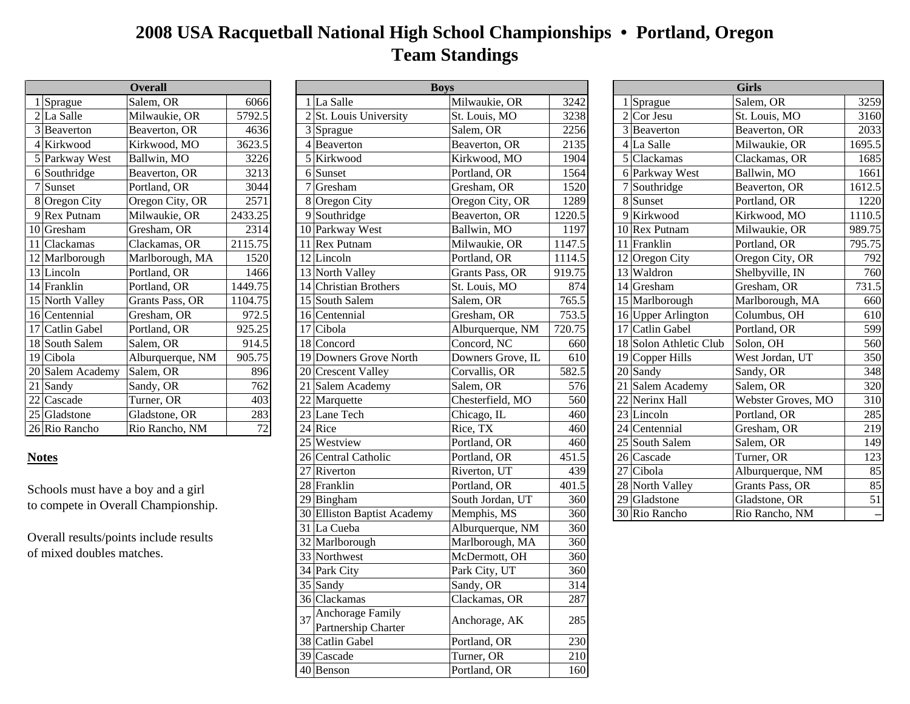## **2008 USA Racquetball National High School Championships • Portland, Oregon Team Standings**

|   | <b>Overall</b>   |                  |         |  |  |  |
|---|------------------|------------------|---------|--|--|--|
|   | 1 Sprague        | Salem, OR        | 6066    |  |  |  |
|   | 2 La Salle       | Milwaukie, OR    | 5792.5  |  |  |  |
|   | 3 Beaverton      | Beaverton, OR    | 4636    |  |  |  |
|   | 4 Kirkwood       | Kirkwood, MO     | 3623.5  |  |  |  |
|   | 5 Parkway West   | Ballwin, MO      | 3226    |  |  |  |
|   | 6 Southridge     | Beaverton, OR    | 3213    |  |  |  |
| 7 | Sunset           | Portland, OR     | 3044    |  |  |  |
|   | 8 Oregon City    | Oregon City, OR  | 2571    |  |  |  |
|   | 9 Rex Putnam     | Milwaukie, OR    | 2433.25 |  |  |  |
|   | 10 Gresham       | Gresham, OR      | 2314    |  |  |  |
|   | 11 Clackamas     | Clackamas, OR    | 2115.75 |  |  |  |
|   | 12 Marlborough   | Marlborough, MA  | 1520    |  |  |  |
|   | 13 Lincoln       | Portland, OR     | 1466    |  |  |  |
|   | 14 Franklin      | Portland, OR     | 1449.75 |  |  |  |
|   | 15 North Valley  | Grants Pass, OR  | 1104.75 |  |  |  |
|   | 16 Centennial    | Gresham, OR      | 972.5   |  |  |  |
|   | 17 Catlin Gabel  | Portland, OR     | 925.25  |  |  |  |
|   | 18 South Salem   | Salem, OR        | 914.5   |  |  |  |
|   | 19 Cibola        | Alburquerque, NM | 905.75  |  |  |  |
|   | 20 Salem Academy | Salem, OR        | 896     |  |  |  |
|   | 21 Sandy         | Sandy, OR        | 762     |  |  |  |
|   | 22 Cascade       | Turner, OR       | 403     |  |  |  |
|   | 25 Gladstone     | Gladstone, OR    | 283     |  |  |  |
|   | 26 Rio Rancho    | Rio Rancho, NM   | 72      |  |  |  |

## **Notes**

|                                        | <b>Overall</b>                      |         |                                 | <b>Boys</b>       |        |                            | <b>Girls</b>       |                          |
|----------------------------------------|-------------------------------------|---------|---------------------------------|-------------------|--------|----------------------------|--------------------|--------------------------|
| $1$ Sprague                            | Salem, OR                           | 6066    | $1$ La Salle                    | Milwaukie, OR     | 3242   | $\overline{1}$ Sprague     | Salem, OR          | 3259                     |
| $2$ La Salle                           | Milwaukie, OR                       | 5792.5  | $2$ <i>St.</i> Louis University | St. Louis, MO     | 3238   | $2$ Cor Jesu               | St. Louis, MO      | 3160                     |
| 3 Beaverton                            | Beaverton, OR                       | 4636    | $3$ Sprague                     | Salem, OR         | 2256   | 3 Beaverton                | Beaverton, OR      | 2033                     |
| 4 Kirkwood                             | Kirkwood, MO                        | 3623.5  | $4$ Beaverton                   | Beaverton, OR     | 2135   | 4 La Salle                 | Milwaukie, OR      | 1695.5                   |
| 5 Parkway West                         | Ballwin, MO                         | 3226    | 5 Kirkwood                      | Kirkwood, MO      | 1904   | 5 Clackamas                | Clackamas, OR      | 1685                     |
| 6 Southridge                           | Beaverton, OR                       | 3213    | 6 Sunset                        | Portland, OR      | 1564   | 6 Parkway West             | Ballwin, MO        | 1661                     |
| $7$ Sunset                             | Portland, OR                        | 3044    | 7 Gresham                       | Gresham, OR       | 1520   | 7 Southridge               | Beaverton, OR      | 1612.5                   |
| 8 Oregon City                          | Oregon City, OR                     | 2571    | 8 Oregon City                   | Oregon City, OR   | 1289   | 8 Sunset                   | Portland, OR       | 1220                     |
| 9 Rex Putnam                           | Milwaukie, OR                       | 2433.25 | 9 Southridge                    | Beaverton, OR     | 1220.5 | 9 Kirkwood                 | Kirkwood, MO       | 1110.5                   |
| $10$ Gresham                           | Gresham, OR                         | 2314    | 10 Parkway West                 | Ballwin, MO       | 1197   | 10 Rex Putnam              | Milwaukie, OR      | 989.75                   |
| 11 Clackamas                           | Clackamas, OR                       | 2115.75 | 11 Rex Putnam                   | Milwaukie, OR     | 1147.5 | 11 Franklin                | Portland, OR       | 795.75                   |
| 12 Marlborough                         | Marlborough, MA                     | 1520    | $12$ Lincoln                    | Portland, OR      | 1114.5 | $12$ Oregon City           | Oregon City, OR    | 792                      |
| $13$ Lincoln                           | Portland, OR                        | 1466    | 13 North Valley                 | Grants Pass, OR   | 919.75 | 13 Waldron                 | Shelbyville, IN    | 760                      |
| 14 Franklin                            | Portland, OR                        | 1449.75 | 14 Christian Brothers           | St. Louis, MO     | 874    | $14$ Gresham               | Gresham, OR        | 731.5                    |
| 15 North Valley                        | Grants Pass, OR                     | 1104.75 | 15 South Salem                  | Salem, OR         | 765.5  | 15 Marlborough             | Marlborough, MA    | 660                      |
| 16 Centennial                          | Gresham, OR                         | 972.5   | 16 Centennial                   | Gresham, OR       | 753.5  | 16 Upper Arlington         | Columbus, OH       | 610                      |
| 17 Catlin Gabel                        | Portland, OR                        | 925.25  | 17 Cibola                       | Alburquerque, NM  | 720.75 | 17 Catlin Gabel            | Portland, OR       | 599                      |
| 18 South Salem                         | Salem, OR                           | 914.5   | 18 Concord                      | Concord, NC       | 660    | 18 Solon Athletic Club     | Solon, OH          | 560                      |
| 19 Cibola                              | Alburquerque, NM                    | 905.75  | 19 Downers Grove North          | Downers Grove, IL | 610    | 19 Copper Hills            | West Jordan, UT    | 350                      |
| 20 Salem Academy                       | Salem, OR                           | 896     | 20 Crescent Valley              | Corvallis, OR     | 582.5  | $20$ Sandy                 | Sandy, OR          | 348                      |
| $21$ Sandy                             | Sandy, OR                           | 762     | 21 Salem Academy                | Salem, OR         | 576    | $\boxed{21}$ Salem Academy | Salem, OR          | 320                      |
| $22$ Cascade                           | Turner, OR                          | 403     | $22$ Marquette                  | Chesterfield, MO  | 560    | 22 Nerinx Hall             | Webster Groves, MO | 310                      |
| $25$ Gladstone                         | Gladstone, OR                       | 283     | 23 Lane Tech                    | Chicago, IL       | 460    | $23$ Lincoln               | Portland, OR       | 285                      |
| 26 Rio Rancho                          | Rio Rancho, NM                      | 72      | 24 Rice                         | Rice, TX          | 460    | 24 Centennial              | Gresham, OR        | 219                      |
|                                        |                                     |         | 25 Westview                     | Portland, OR      | 460    | 25 South Salem             | Salem, OR          | 149                      |
| <b>Notes</b>                           |                                     |         | 26 Central Catholic             | Portland, OR      | 451.5  | 26 Cascade                 | Turner, OR         | 123                      |
|                                        |                                     |         | $27$ Riverton                   | Riverton, UT      | 439    | 27 Cibola                  | Alburquerque, NM   | 85                       |
| Schools must have a boy and a girl     |                                     |         | $28$ Franklin                   | Portland, OR      | 401.5  | 28 North Valley            | Grants Pass, OR    | 85                       |
|                                        | to compete in Overall Championship. |         | 29 Bingham                      | South Jordan, UT  | 360    | $29 G$ ladstone            | Gladstone, OR      | 51                       |
|                                        |                                     |         | 30 Elliston Baptist Academy     | Memphis, MS       | 360    | 30 Rio Rancho              | Rio Rancho, NM     | $\overline{\phantom{0}}$ |
|                                        |                                     |         | 31 La Cueba                     | Alburquerque, NM  | 360    |                            |                    |                          |
| Overall results/points include results |                                     |         | 32 Marlborough                  | Marlborough, MA   | 360    |                            |                    |                          |
| of mixed doubles matches.              |                                     |         | 33 Northwest                    | McDermott, OH     | 360    |                            |                    |                          |
|                                        |                                     |         | 34 Park City                    | Park City, UT     | 360    |                            |                    |                          |
|                                        |                                     |         | 35 Sandy                        | Sandy, OR         | 314    |                            |                    |                          |
|                                        |                                     |         | 36 Clackamas                    | Clackamas, OR     | 287    |                            |                    |                          |
|                                        |                                     |         | <b>Anchorage Family</b>         |                   |        |                            |                    |                          |
|                                        |                                     |         | Partnership Charter             | Anchorage, AK     | 285    |                            |                    |                          |
|                                        |                                     |         | 38 Catlin Gabel                 | Portland, OR      | 230    |                            |                    |                          |
|                                        |                                     |         | 39 Cascade                      | Turner, OR        | 210    |                            |                    |                          |
|                                        |                                     |         | $40$ Benson                     | Portland, OR      | 160    |                            |                    |                          |

| <b>Girls</b>           |                    |        |  |  |
|------------------------|--------------------|--------|--|--|
| 1 Sprague              | Salem, OR          | 3259   |  |  |
| $2$ Cor Jesu           | St. Louis, MO      | 3160   |  |  |
| 3 Beaverton            | Beaverton, OR      | 2033   |  |  |
| 4 La Salle             | Milwaukie, OR      | 1695.5 |  |  |
| 5 Clackamas            | Clackamas, OR      | 1685   |  |  |
| 6 Parkway West         | Ballwin, MO        | 1661   |  |  |
| 7 Southridge           | Beaverton, OR      | 1612.5 |  |  |
| 8 Sunset               | Portland, OR       | 1220   |  |  |
| 9 Kirkwood             | Kirkwood, MO       | 1110.5 |  |  |
| 10 Rex Putnam          | Milwaukie, OR      | 989.75 |  |  |
| 11 Franklin            | Portland, OR       | 795.75 |  |  |
| 12 Oregon City         | Oregon City, OR    | 792    |  |  |
| 13 Waldron             | Shelbyville, IN    | 760    |  |  |
| 14 Gresham             | Gresham, OR        | 731.5  |  |  |
| 15 Marlborough         | Marlborough, MA    | 660    |  |  |
| 16 Upper Arlington     | Columbus, OH       | 610    |  |  |
| 17 Catlin Gabel        | Portland, OR       | 599    |  |  |
| 18 Solon Athletic Club | Solon, OH          | 560    |  |  |
| 19 Copper Hills        | West Jordan, UT    | 350    |  |  |
| 20 Sandy               | Sandy, OR          | 348    |  |  |
| 21 Salem Academy       | Salem, OR          | 320    |  |  |
| 22 Nerinx Hall         | Webster Groves, MO | 310    |  |  |
| 23 Lincoln             | Portland, OR       | 285    |  |  |
| $24$ Centennial        | Gresham, OR        | 219    |  |  |
| 25 South Salem         | Salem, OR          | 149    |  |  |
| 26 Cascade             | Turner, OR         | 123    |  |  |
| 27 Cibola              | Alburquerque, NM   | 85     |  |  |
| 28 North Valley        | Grants Pass, OR    | 85     |  |  |
| 29 Gladstone           | Gladstone, OR      | 51     |  |  |
| 30 Rio Rancho          | Rio Rancho, NM     |        |  |  |